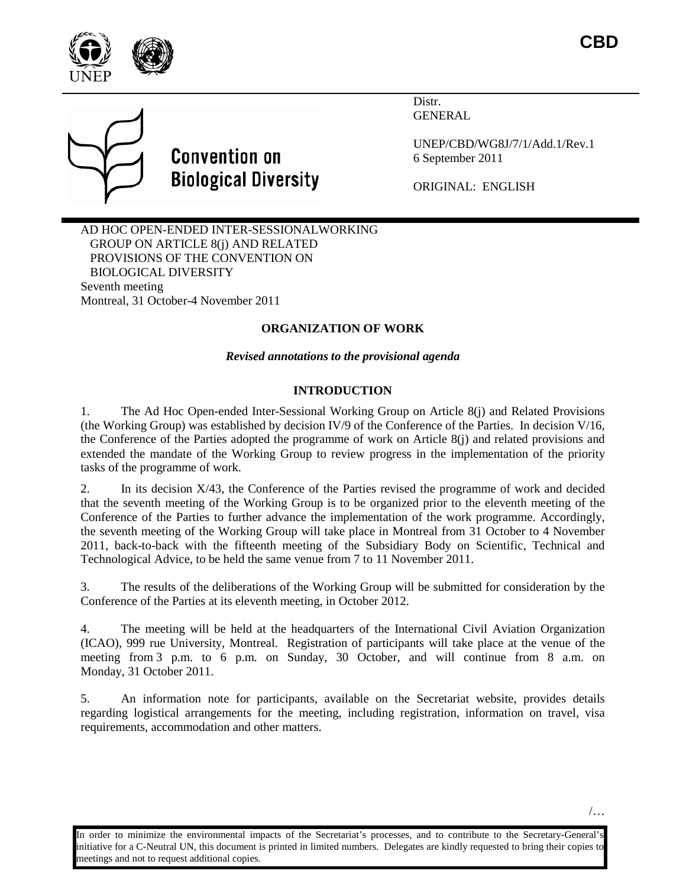





Distr. GENERAL

UNEP/CBD/WG8J/7/1/Add.1/Rev.1 6 September 2011

ORIGINAL: ENGLISH

AD HOC OPEN-ENDED INTER-SESSIONALWORKING GROUP ON ARTICLE 8(j) AND RELATED PROVISIONS OF THE CONVENTION ON BIOLOGICAL DIVERSITY Seventh meeting Montreal, 31 October-4 November 2011

## **ORGANIZATION OF WORK**

*Revised annotations to the provisional agenda*

## **INTRODUCTION**

1. The Ad Hoc Open-ended Inter-Sessional Working Group on Article 8(j) and Related Provisions (the Working Group) was established by decision IV/9 of the Conference of the Parties. In decision V/16, the Conference of the Parties adopted the programme of work on Article 8(j) and related provisions and extended the mandate of the Working Group to review progress in the implementation of the priority tasks of the programme of work.

2. In its decision X/43, the Conference of the Parties revised the programme of work and decided that the seventh meeting of the Working Group is to be organized prior to the eleventh meeting of the Conference of the Parties to further advance the implementation of the work programme. Accordingly, the seventh meeting of the Working Group will take place in Montreal from 31 October to 4 November 2011, back-to-back with the fifteenth meeting of the Subsidiary Body on Scientific, Technical and Technological Advice, to be held the same venue from 7 to 11 November 2011.

3. The results of the deliberations of the Working Group will be submitted for consideration by the Conference of the Parties at its eleventh meeting, in October 2012.

4. The meeting will be held at the headquarters of the International Civil Aviation Organization (ICAO), 999 rue University, Montreal. Registration of participants will take place at the venue of the meeting from 3 p.m. to 6 p.m. on Sunday, 30 October, and will continue from 8 a.m. on Monday, 31 October 2011.

5. An information note for participants, available on the Secretariat website, provides details regarding logistical arrangements for the meeting, including registration, information on travel, visa requirements, accommodation and other matters.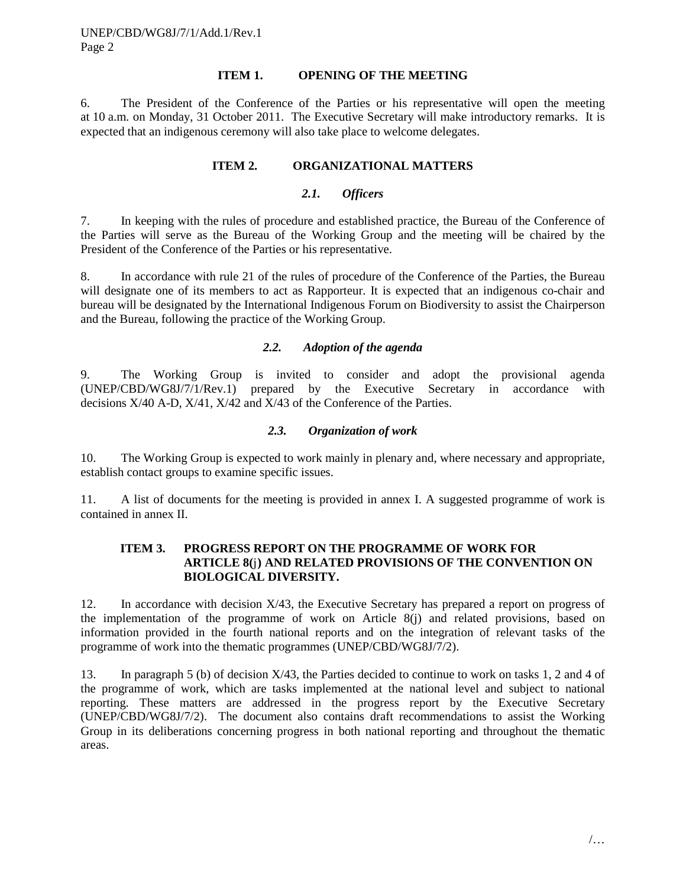### **ITEM 1. OPENING OF THE MEETING**

6. The President of the Conference of the Parties or his representative will open the meeting at 10 a.m. on Monday, 31 October 2011. The Executive Secretary will make introductory remarks. It is expected that an indigenous ceremony will also take place to welcome delegates.

#### **ITEM 2. ORGANIZATIONAL MATTERS**

### *2.1. Officers*

7. In keeping with the rules of procedure and established practice, the Bureau of the Conference of the Parties will serve as the Bureau of the Working Group and the meeting will be chaired by the President of the Conference of the Parties or his representative.

8. In accordance with rule 21 of the rules of procedure of the Conference of the Parties, the Bureau will designate one of its members to act as Rapporteur. It is expected that an indigenous co-chair and bureau will be designated by the International Indigenous Forum on Biodiversity to assist the Chairperson and the Bureau, following the practice of the Working Group.

### *2.2. Adoption of the agenda*

9. The Working Group is invited to consider and adopt the provisional agenda (UNEP/CBD/WG8J/7/1/Rev.1) prepared by the Executive Secretary in accordance with decisions X/40 A-D, X/41, X/42 and X/43 of the Conference of the Parties.

### *2.3. Organization of work*

10. The Working Group is expected to work mainly in plenary and, where necessary and appropriate, establish contact groups to examine specific issues.

11. A list of documents for the meeting is provided in annex I. A suggested programme of work is contained in annex II.

### **ITEM 3. PROGRESS REPORT ON THE PROGRAMME OF WORK FOR ARTICLE 8(**j**) AND RELATED PROVISIONS OF THE CONVENTION ON BIOLOGICAL DIVERSITY.**

12. In accordance with decision X/43, the Executive Secretary has prepared a report on progress of the implementation of the programme of work on Article 8(j) and related provisions, based on information provided in the fourth national reports and on the integration of relevant tasks of the programme of work into the thematic programmes (UNEP/CBD/WG8J/7/2).

13. In paragraph 5 (b) of decision X/43, the Parties decided to continue to work on tasks 1, 2 and 4 of the programme of work, which are tasks implemented at the national level and subject to national reporting. These matters are addressed in the progress report by the Executive Secretary (UNEP/CBD/WG8J/7/2). The document also contains draft recommendations to assist the Working Group in its deliberations concerning progress in both national reporting and throughout the thematic areas.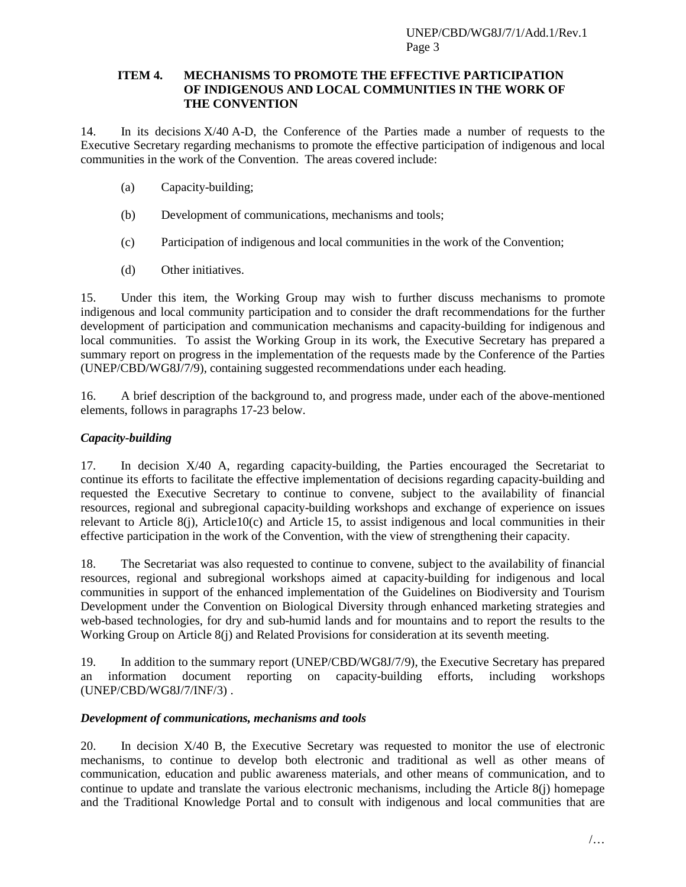### **ITEM 4. MECHANISMS TO PROMOTE THE EFFECTIVE PARTICIPATION OF INDIGENOUS AND LOCAL COMMUNITIES IN THE WORK OF THE CONVENTION**

14. In its decisions X/40 A-D, the Conference of the Parties made a number of requests to the Executive Secretary regarding mechanisms to promote the effective participation of indigenous and local communities in the work of the Convention. The areas covered include:

- (a) Capacity-building;
- (b) Development of communications, mechanisms and tools;
- (c) Participation of indigenous and local communities in the work of the Convention;
- (d) Other initiatives.

15. Under this item, the Working Group may wish to further discuss mechanisms to promote indigenous and local community participation and to consider the draft recommendations for the further development of participation and communication mechanisms and capacity-building for indigenous and local communities. To assist the Working Group in its work, the Executive Secretary has prepared a summary report on progress in the implementation of the requests made by the Conference of the Parties (UNEP/CBD/WG8J/7/9), containing suggested recommendations under each heading.

16. A brief description of the background to, and progress made, under each of the above-mentioned elements, follows in paragraphs [17](#page-2-0)[-23](#page-3-0) below.

## *Capacity-building*

<span id="page-2-0"></span>17. In decision X/40 A, regarding capacity-building, the Parties encouraged the Secretariat to continue its efforts to facilitate the effective implementation of decisions regarding capacity-building and requested the Executive Secretary to continue to convene, subject to the availability of financial resources, regional and subregional capacity-building workshops and exchange of experience on issues relevant to Article 8(j), Article10(c) and Article 15, to assist indigenous and local communities in their effective participation in the work of the Convention, with the view of strengthening their capacity.

18. The Secretariat was also requested to continue to convene, subject to the availability of financial resources, regional and subregional workshops aimed at capacity-building for indigenous and local communities in support of the enhanced implementation of the Guidelines on Biodiversity and Tourism Development under the Convention on Biological Diversity through enhanced marketing strategies and web-based technologies, for dry and sub-humid lands and for mountains and to report the results to the Working Group on Article 8(j) and Related Provisions for consideration at its seventh meeting.

19. In addition to the summary report (UNEP/CBD/WG8J/7/9), the Executive Secretary has prepared an information document reporting on capacity-building efforts, including workshops (UNEP/CBD/WG8J/7/INF/3) .

## *Development of communications, mechanisms and tools*

20. In decision X/40 B, the Executive Secretary was requested to monitor the use of electronic mechanisms, to continue to develop both electronic and traditional as well as other means of communication, education and public awareness materials, and other means of communication, and to continue to update and translate the various electronic mechanisms, including the Article 8(j) homepage and the Traditional Knowledge Portal and to consult with indigenous and local communities that are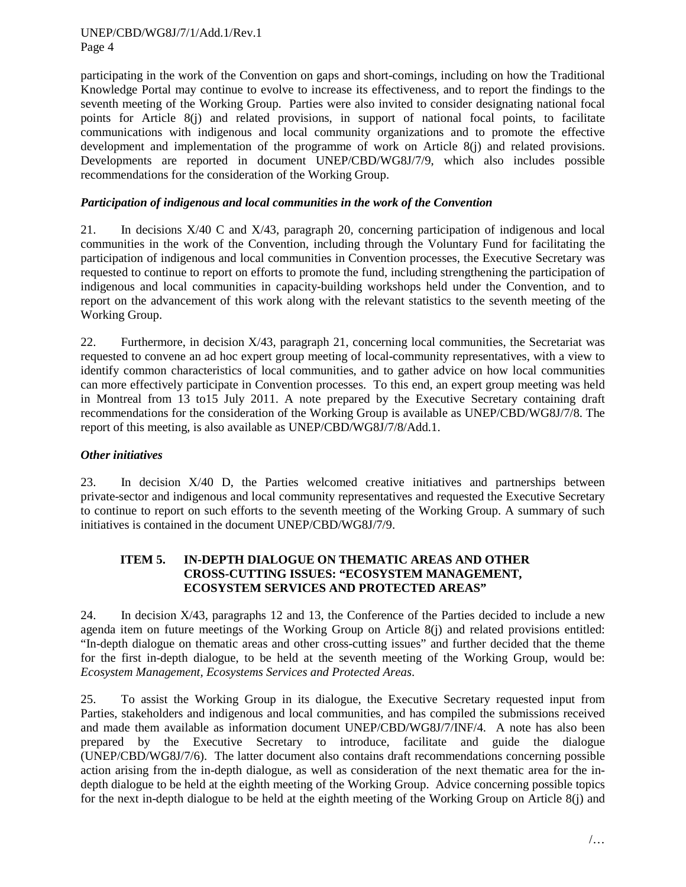participating in the work of the Convention on gaps and short-comings, including on how the Traditional Knowledge Portal may continue to evolve to increase its effectiveness, and to report the findings to the seventh meeting of the Working Group. Parties were also invited to consider designating national focal points for Article 8(j) and related provisions, in support of national focal points, to facilitate communications with indigenous and local community organizations and to promote the effective development and implementation of the programme of work on Article 8(j) and related provisions. Developments are reported in document UNEP/CBD/WG8J/7/9, which also includes possible recommendations for the consideration of the Working Group.

### *Participation of indigenous and local communities in the work of the Convention*

21. In decisions  $X/40$  C and  $X/43$ , paragraph 20, concerning participation of indigenous and local communities in the work of the Convention, including through the Voluntary Fund for facilitating the participation of indigenous and local communities in Convention processes, the Executive Secretary was requested to continue to report on efforts to promote the fund, including strengthening the participation of indigenous and local communities in capacity-building workshops held under the Convention, and to report on the advancement of this work along with the relevant statistics to the seventh meeting of the Working Group.

22. Furthermore, in decision X/43, paragraph 21, concerning local communities, the Secretariat was requested to convene an ad hoc expert group meeting of local-community representatives, with a view to identify common characteristics of local communities, and to gather advice on how local communities can more effectively participate in Convention processes. To this end, an expert group meeting was held in Montreal from 13 to15 July 2011. A note prepared by the Executive Secretary containing draft recommendations for the consideration of the Working Group is available as UNEP/CBD/WG8J/7/8. The report of this meeting, is also available as UNEP/CBD/WG8J/7/8/Add.1.

### *Other initiatives*

<span id="page-3-0"></span>23. In decision X/40 D, the Parties welcomed creative initiatives and partnerships between private-sector and indigenous and local community representatives and requested the Executive Secretary to continue to report on such efforts to the seventh meeting of the Working Group. A summary of such initiatives is contained in the document UNEP/CBD/WG8J/7/9.

### **ITEM 5. IN-DEPTH DIALOGUE ON THEMATIC AREAS AND OTHER CROSS-CUTTING ISSUES: "ECOSYSTEM MANAGEMENT, ECOSYSTEM SERVICES AND PROTECTED AREAS"**

24. In decision X/43, paragraphs 12 and 13, the Conference of the Parties decided to include a new agenda item on future meetings of the Working Group on Article 8(j) and related provisions entitled: "In-depth dialogue on thematic areas and other cross-cutting issues" and further decided that the theme for the first in-depth dialogue, to be held at the seventh meeting of the Working Group, would be: *Ecosystem Management, Ecosystems Services and Protected Areas*.

25. To assist the Working Group in its dialogue, the Executive Secretary requested input from Parties, stakeholders and indigenous and local communities, and has compiled the submissions received and made them available as information document UNEP/CBD/WG8J/7/INF/4. A note has also been prepared by the Executive Secretary to introduce, facilitate and guide the dialogue (UNEP/CBD/WG8J/7/6). The latter document also contains draft recommendations concerning possible action arising from the in-depth dialogue, as well as consideration of the next thematic area for the indepth dialogue to be held at the eighth meeting of the Working Group. Advice concerning possible topics for the next in-depth dialogue to be held at the eighth meeting of the Working Group on Article 8(j) and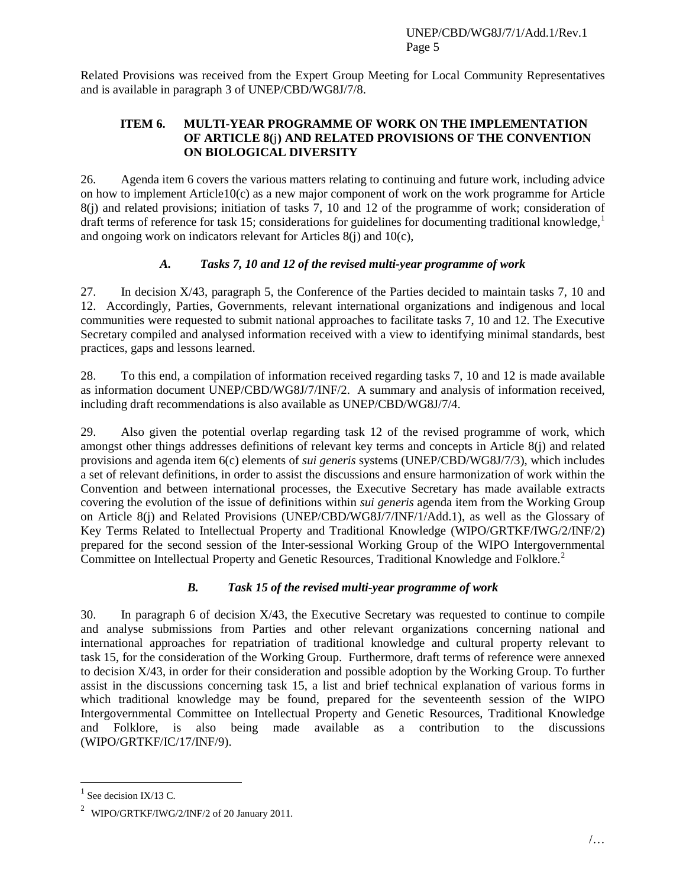Related Provisions was received from the Expert Group Meeting for Local Community Representatives and is available in paragraph 3 of UNEP/CBD/WG8J/7/8.

### **ITEM 6. MULTI-YEAR PROGRAMME OF WORK ON THE IMPLEMENTATION OF ARTICLE 8(**j**) AND RELATED PROVISIONS OF THE CONVENTION ON BIOLOGICAL DIVERSITY**

26. Agenda item 6 covers the various matters relating to continuing and future work, including advice on how to implement Article10(c) as a new major component of work on the work programme for Article 8(j) and related provisions; initiation of tasks 7, 10 and 12 of the programme of work; consideration of draft terms of reference for task 15; considerations for guidelines for documenting traditional knowledge, [1](#page-4-0) and ongoing work on indicators relevant for Articles 8(j) and 10(c),

## *A. Tasks 7, 10 and 12 of the revised multi-year programme of work*

27. In decision X/43, paragraph 5, the Conference of the Parties decided to maintain tasks 7, 10 and 12. Accordingly, Parties, Governments, relevant international organizations and indigenous and local communities were requested to submit national approaches to facilitate tasks 7, 10 and 12. The Executive Secretary compiled and analysed information received with a view to identifying minimal standards, best practices, gaps and lessons learned.

28. To this end, a compilation of information received regarding tasks 7, 10 and 12 is made available as information document UNEP/CBD/WG8J/7/INF/2. A summary and analysis of information received, including draft recommendations is also available as UNEP/CBD/WG8J/7/4.

29. Also given the potential overlap regarding task 12 of the revised programme of work, which amongst other things addresses definitions of relevant key terms and concepts in Article 8(j) and related provisions and agenda item 6(c) elements of *sui generis* systems (UNEP/CBD/WG8J/7/3), which includes a set of relevant definitions, in order to assist the discussions and ensure harmonization of work within the Convention and between international processes, the Executive Secretary has made available extracts covering the evolution of the issue of definitions within *sui generis* agenda item from the Working Group on Article 8(j) and Related Provisions (UNEP/CBD/WG8J/7/INF/1/Add.1), as well as the Glossary of Key Terms Related to Intellectual Property and Traditional Knowledge (WIPO/GRTKF/IWG/2/INF/2) prepared for the second session of the Inter-sessional Working Group of the WIPO Intergovernmental Committee on Intellectual Property and Genetic Resources, Traditional Knowledge and Folklore.<sup>[2](#page-4-1)</sup>

## *B. Task 15 of the revised multi-year programme of work*

30. In paragraph 6 of decision X/43, the Executive Secretary was requested to continue to compile and analyse submissions from Parties and other relevant organizations concerning national and international approaches for repatriation of traditional knowledge and cultural property relevant to task 15, for the consideration of the Working Group. Furthermore, draft terms of reference were annexed to decision X/43, in order for their consideration and possible adoption by the Working Group. To further assist in the discussions concerning task 15, a list and brief technical explanation of various forms in which traditional knowledge may be found, prepared for the seventeenth session of the WIPO Intergovernmental Committee on Intellectual Property and Genetic Resources, Traditional Knowledge and Folklore, is also being made available as a contribution to the discussions (WIPO/GRTKF/IC/17/INF/9).

<span id="page-4-0"></span>See decision IX/13 C.

<span id="page-4-1"></span><sup>2</sup> WIPO/GRTKF/IWG/2/INF/2 of 20 January 2011.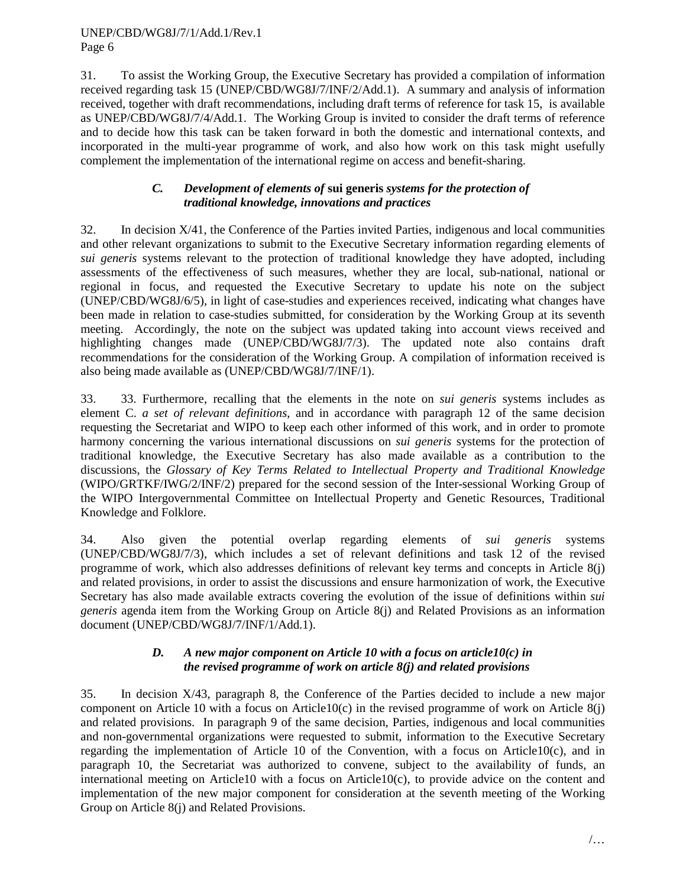31. To assist the Working Group, the Executive Secretary has provided a compilation of information received regarding task 15 (UNEP/CBD/WG8J/7/INF/2/Add.1). A summary and analysis of information received, together with draft recommendations, including draft terms of reference for task 15, is available as UNEP/CBD/WG8J/7/4/Add.1. The Working Group is invited to consider the draft terms of reference and to decide how this task can be taken forward in both the domestic and international contexts, and incorporated in the multi-year programme of work, and also how work on this task might usefully complement the implementation of the international regime on access and benefit-sharing.

## *C. Development of elements of* **sui generis** *systems for the protection of traditional knowledge, innovations and practices*

32. In decision X/41, the Conference of the Parties invited Parties, indigenous and local communities and other relevant organizations to submit to the Executive Secretary information regarding elements of *sui generis* systems relevant to the protection of traditional knowledge they have adopted, including assessments of the effectiveness of such measures, whether they are local, sub-national, national or regional in focus, and requested the Executive Secretary to update his note on the subject (UNEP/CBD/WG8J/6/5), in light of case-studies and experiences received, indicating what changes have been made in relation to case-studies submitted, for consideration by the Working Group at its seventh meeting. Accordingly, the note on the subject was updated taking into account views received and highlighting changes made (UNEP/CBD/WG8J/7/3). The updated note also contains draft recommendations for the consideration of the Working Group. A compilation of information received is also being made available as (UNEP/CBD/WG8J/7/INF/1).

33. 33. Furthermore, recalling that the elements in the note on *sui generis* systems includes as element C. *a set of relevant definitions*, and in accordance with paragraph 12 of the same decision requesting the Secretariat and WIPO to keep each other informed of this work, and in order to promote harmony concerning the various international discussions on *sui generis* systems for the protection of traditional knowledge, the Executive Secretary has also made available as a contribution to the discussions, the *Glossary of Key Terms Related to Intellectual Property and Traditional Knowledge* (WIPO/GRTKF/IWG/2/INF/2) prepared for the second session of the Inter-sessional Working Group of the WIPO Intergovernmental Committee on Intellectual Property and Genetic Resources, Traditional Knowledge and Folklore.

34. Also given the potential overlap regarding elements of *sui generis* systems (UNEP/CBD/WG8J/7/3), which includes a set of relevant definitions and task 12 of the revised programme of work, which also addresses definitions of relevant key terms and concepts in Article 8(j) and related provisions, in order to assist the discussions and ensure harmonization of work, the Executive Secretary has also made available extracts covering the evolution of the issue of definitions within *sui generis* agenda item from the Working Group on Article 8(j) and Related Provisions as an information document (UNEP/CBD/WG8J/7/INF/1/Add.1).

## *D. A new major component on Article 10 with a focus on article10(c) in the revised programme of work on article 8(j) and related provisions*

35. In decision X/43, paragraph 8, the Conference of the Parties decided to include a new major component on Article 10 with a focus on Article10(c) in the revised programme of work on Article 8(j) and related provisions. In paragraph 9 of the same decision, Parties, indigenous and local communities and non-governmental organizations were requested to submit, information to the Executive Secretary regarding the implementation of Article 10 of the Convention, with a focus on Article10(c), and in paragraph 10, the Secretariat was authorized to convene, subject to the availability of funds, an international meeting on Article10 with a focus on Article10(c), to provide advice on the content and implementation of the new major component for consideration at the seventh meeting of the Working Group on Article 8(j) and Related Provisions.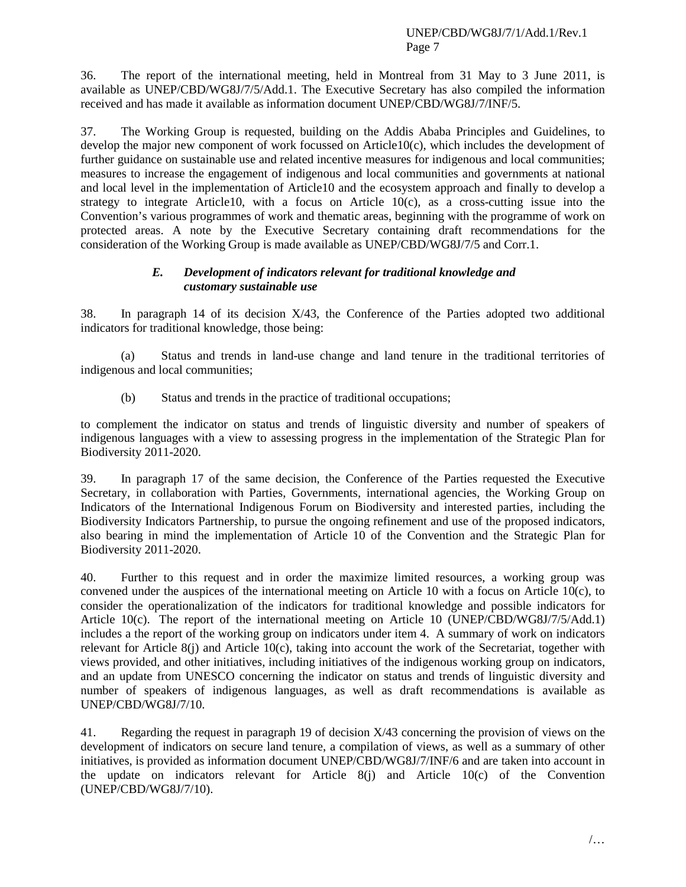36. The report of the international meeting, held in Montreal from 31 May to 3 June 2011, is available as UNEP/CBD/WG8J/7/5/Add.1. The Executive Secretary has also compiled the information received and has made it available as information document UNEP/CBD/WG8J/7/INF/5.

37. The Working Group is requested, building on the Addis Ababa Principles and Guidelines, to develop the major new component of work focussed on Article10 $(c)$ , which includes the development of further guidance on sustainable use and related incentive measures for indigenous and local communities; measures to increase the engagement of indigenous and local communities and governments at national and local level in the implementation of Article10 and the ecosystem approach and finally to develop a strategy to integrate Article10, with a focus on Article  $10(c)$ , as a cross-cutting issue into the Convention's various programmes of work and thematic areas, beginning with the programme of work on protected areas. A note by the Executive Secretary containing draft recommendations for the consideration of the Working Group is made available as UNEP/CBD/WG8J/7/5 and Corr.1.

### *E. Development of indicators relevant for traditional knowledge and customary sustainable use*

38. In paragraph 14 of its decision X/43, the Conference of the Parties adopted two additional indicators for traditional knowledge, those being:

(a) Status and trends in land-use change and land tenure in the traditional territories of indigenous and local communities;

(b) Status and trends in the practice of traditional occupations;

to complement the indicator on status and trends of linguistic diversity and number of speakers of indigenous languages with a view to assessing progress in the implementation of the Strategic Plan for Biodiversity 2011-2020.

39. In paragraph 17 of the same decision, the Conference of the Parties requested the Executive Secretary, in collaboration with Parties, Governments, international agencies, the Working Group on Indicators of the International Indigenous Forum on Biodiversity and interested parties, including the Biodiversity Indicators Partnership, to pursue the ongoing refinement and use of the proposed indicators, also bearing in mind the implementation of Article 10 of the Convention and the Strategic Plan for Biodiversity 2011-2020.

40. Further to this request and in order the maximize limited resources, a working group was convened under the auspices of the international meeting on Article 10 with a focus on Article 10(c), to consider the operationalization of the indicators for traditional knowledge and possible indicators for Article 10(c). The report of the international meeting on Article 10 (UNEP/CBD/WG8J/7/5/Add.1) includes a the report of the working group on indicators under item 4. A summary of work on indicators relevant for Article 8(j) and Article 10(c), taking into account the work of the Secretariat, together with views provided, and other initiatives, including initiatives of the indigenous working group on indicators, and an update from UNESCO concerning the indicator on status and trends of linguistic diversity and number of speakers of indigenous languages, as well as draft recommendations is available as UNEP/CBD/WG8J/7/10.

41. Regarding the request in paragraph 19 of decision X/43 concerning the provision of views on the development of indicators on secure land tenure, a compilation of views, as well as a summary of other initiatives, is provided as information document UNEP/CBD/WG8J/7/INF/6 and are taken into account in the update on indicators relevant for Article 8(j) and Article 10(c) of the Convention (UNEP/CBD/WG8J/7/10).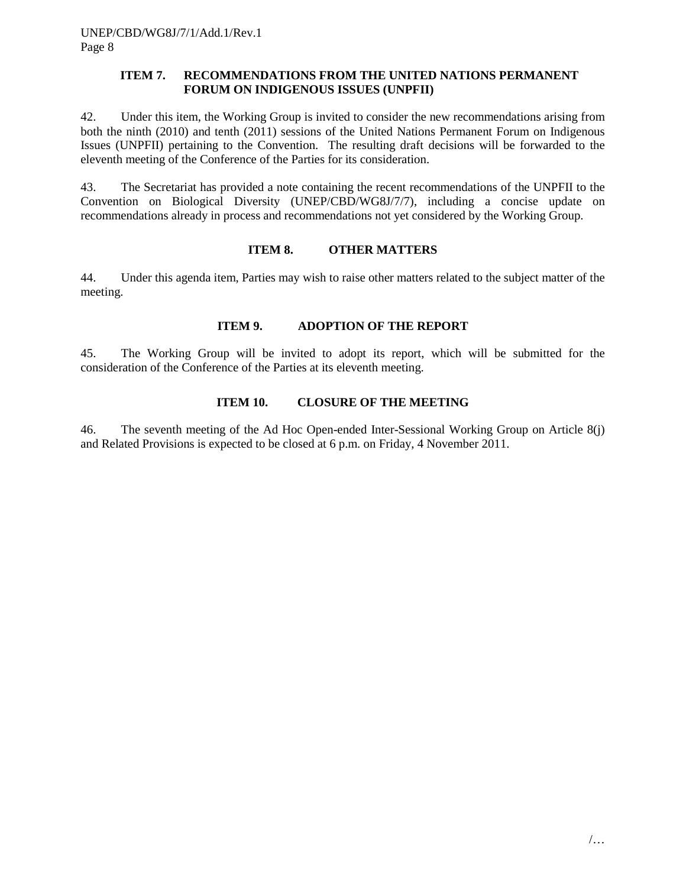### **ITEM 7. RECOMMENDATIONS FROM THE UNITED NATIONS PERMANENT FORUM ON INDIGENOUS ISSUES (UNPFII)**

42. Under this item, the Working Group is invited to consider the new recommendations arising from both the ninth (2010) and tenth (2011) sessions of the United Nations Permanent Forum on Indigenous Issues (UNPFII) pertaining to the Convention. The resulting draft decisions will be forwarded to the eleventh meeting of the Conference of the Parties for its consideration.

43. The Secretariat has provided a note containing the recent recommendations of the UNPFII to the Convention on Biological Diversity (UNEP/CBD/WG8J/7/7), including a concise update on recommendations already in process and recommendations not yet considered by the Working Group.

### **ITEM 8. OTHER MATTERS**

44. Under this agenda item, Parties may wish to raise other matters related to the subject matter of the meeting.

### **ITEM 9. ADOPTION OF THE REPORT**

45. The Working Group will be invited to adopt its report, which will be submitted for the consideration of the Conference of the Parties at its eleventh meeting.

### **ITEM 10. CLOSURE OF THE MEETING**

46. The seventh meeting of the Ad Hoc Open-ended Inter-Sessional Working Group on Article 8(j) and Related Provisions is expected to be closed at 6 p.m. on Friday, 4 November 2011.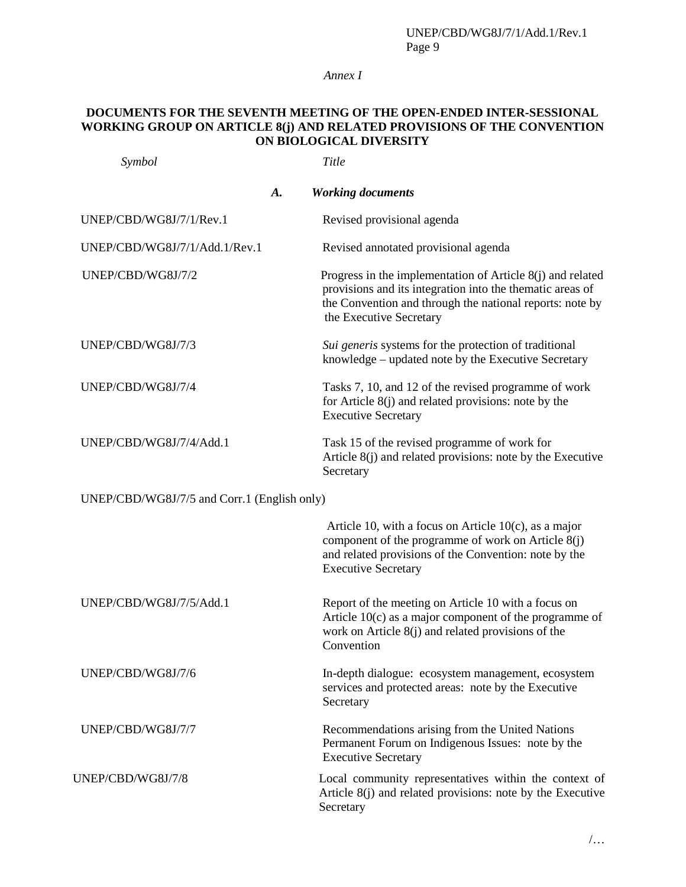## *Annex I*

## **DOCUMENTS FOR THE SEVENTH MEETING OF THE OPEN-ENDED INTER-SESSIONAL WORKING GROUP ON ARTICLE 8(j) AND RELATED PROVISIONS OF THE CONVENTION ON BIOLOGICAL DIVERSITY**

| Symbol                                      | Title                                                                                                                                                                                                          |
|---------------------------------------------|----------------------------------------------------------------------------------------------------------------------------------------------------------------------------------------------------------------|
| A.                                          | <b>Working documents</b>                                                                                                                                                                                       |
| UNEP/CBD/WG8J/7/1/Rev.1                     | Revised provisional agenda                                                                                                                                                                                     |
| UNEP/CBD/WG8J/7/1/Add.1/Rev.1               | Revised annotated provisional agenda                                                                                                                                                                           |
| UNEP/CBD/WG8J/7/2                           | Progress in the implementation of Article 8(j) and related<br>provisions and its integration into the thematic areas of<br>the Convention and through the national reports: note by<br>the Executive Secretary |
| UNEP/CBD/WG8J/7/3                           | Sui generis systems for the protection of traditional<br>knowledge - updated note by the Executive Secretary                                                                                                   |
| UNEP/CBD/WG8J/7/4                           | Tasks 7, 10, and 12 of the revised programme of work<br>for Article $8(j)$ and related provisions: note by the<br><b>Executive Secretary</b>                                                                   |
| UNEP/CBD/WG8J/7/4/Add.1                     | Task 15 of the revised programme of work for<br>Article 8(j) and related provisions: note by the Executive<br>Secretary                                                                                        |
| UNEP/CBD/WG8J/7/5 and Corr.1 (English only) |                                                                                                                                                                                                                |
|                                             | Article 10, with a focus on Article $10(c)$ , as a major<br>component of the programme of work on Article 8(j)<br>and related provisions of the Convention: note by the<br><b>Executive Secretary</b>          |
| UNEP/CBD/WG8J/7/5/Add.1                     | Report of the meeting on Article 10 with a focus on<br>Article $10(c)$ as a major component of the programme of<br>work on Article 8(j) and related provisions of the<br>Convention                            |
| UNEP/CBD/WG8J/7/6                           | In-depth dialogue: ecosystem management, ecosystem<br>services and protected areas: note by the Executive<br>Secretary                                                                                         |
| UNEP/CBD/WG8J/7/7                           | Recommendations arising from the United Nations<br>Permanent Forum on Indigenous Issues: note by the<br><b>Executive Secretary</b>                                                                             |
| UNEP/CBD/WG8J/7/8                           | Local community representatives within the context of<br>Article 8(j) and related provisions: note by the Executive<br>Secretary                                                                               |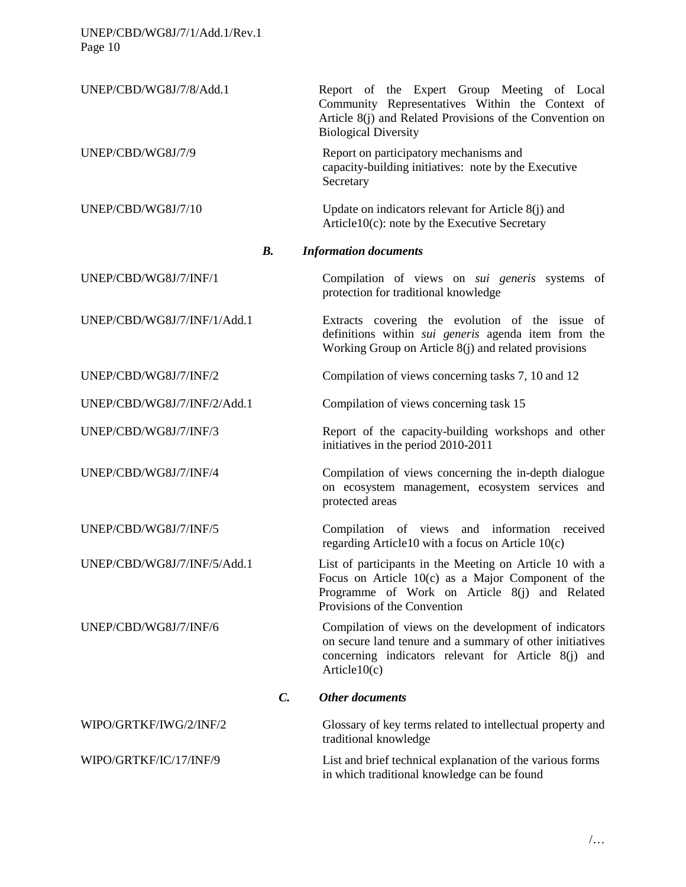| UNEP/CBD/WG8J/7/8/Add.1     |                    | Report of the Expert Group Meeting of Local<br>Community Representatives Within the Context of<br>Article 8(j) and Related Provisions of the Convention on<br><b>Biological Diversity</b>         |
|-----------------------------|--------------------|---------------------------------------------------------------------------------------------------------------------------------------------------------------------------------------------------|
| UNEP/CBD/WG8J/7/9           |                    | Report on participatory mechanisms and<br>capacity-building initiatives: note by the Executive<br>Secretary                                                                                       |
| UNEP/CBD/WG8J/7/10          |                    | Update on indicators relevant for Article 8(j) and<br>$Article10(c)$ : note by the Executive Secretary                                                                                            |
|                             | $\boldsymbol{B}$ . | <b>Information documents</b>                                                                                                                                                                      |
| UNEP/CBD/WG8J/7/INF/1       |                    | Compilation of views on sui generis systems of<br>protection for traditional knowledge                                                                                                            |
| UNEP/CBD/WG8J/7/INF/1/Add.1 |                    | Extracts covering the evolution of the issue of<br>definitions within <i>sui generis</i> agenda item from the<br>Working Group on Article 8(j) and related provisions                             |
| UNEP/CBD/WG8J/7/INF/2       |                    | Compilation of views concerning tasks 7, 10 and 12                                                                                                                                                |
| UNEP/CBD/WG8J/7/INF/2/Add.1 |                    | Compilation of views concerning task 15                                                                                                                                                           |
| UNEP/CBD/WG8J/7/INF/3       |                    | Report of the capacity-building workshops and other<br>initiatives in the period 2010-2011                                                                                                        |
| UNEP/CBD/WG8J/7/INF/4       |                    | Compilation of views concerning the in-depth dialogue<br>on ecosystem management, ecosystem services and<br>protected areas                                                                       |
| UNEP/CBD/WG8J/7/INF/5       |                    | Compilation of views and information received<br>regarding Article 10 with a focus on Article $10(c)$                                                                                             |
| UNEP/CBD/WG8J/7/INF/5/Add.1 |                    | List of participants in the Meeting on Article 10 with a<br>Focus on Article $10(c)$ as a Major Component of the<br>Programme of Work on Article 8(j) and Related<br>Provisions of the Convention |
| UNEP/CBD/WG8J/7/INF/6       |                    | Compilation of views on the development of indicators<br>on secure land tenure and a summary of other initiatives<br>concerning indicators relevant for Article 8(j) and<br>Article $10(c)$       |
|                             | $\mathcal{C}$ .    | <b>Other documents</b>                                                                                                                                                                            |
| WIPO/GRTKF/IWG/2/INF/2      |                    | Glossary of key terms related to intellectual property and<br>traditional knowledge                                                                                                               |
| WIPO/GRTKF/IC/17/INF/9      |                    | List and brief technical explanation of the various forms<br>in which traditional knowledge can be found                                                                                          |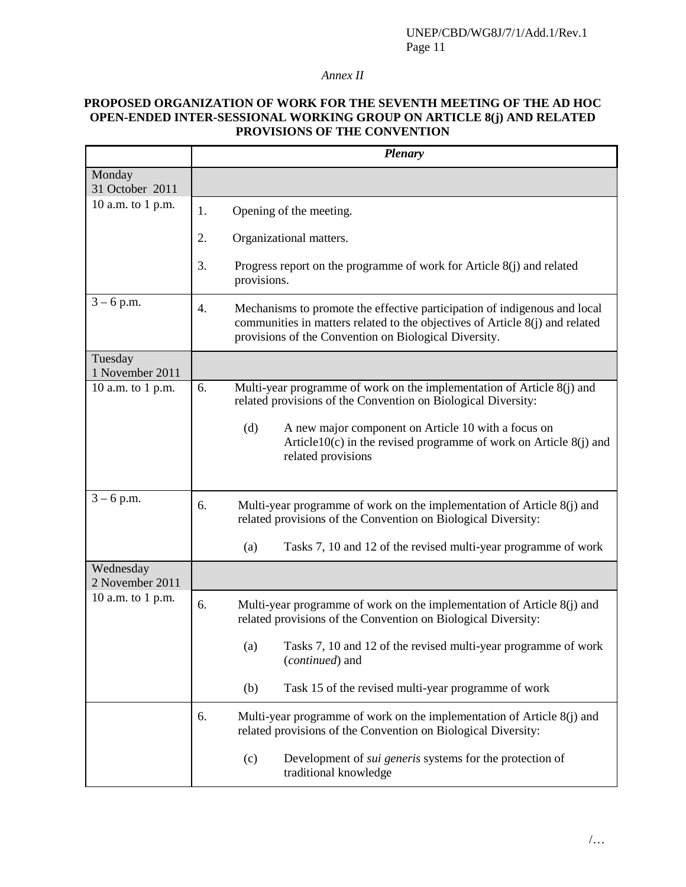### *Annex II*

### **PROPOSED ORGANIZATION OF WORK FOR THE SEVENTH MEETING OF THE AD HOC OPEN-ENDED INTER-SESSIONAL WORKING GROUP ON ARTICLE 8(j) AND RELATED PROVISIONS OF THE CONVENTION**

|                              | <b>Plenary</b>                                                                                                                                                                                                           |  |
|------------------------------|--------------------------------------------------------------------------------------------------------------------------------------------------------------------------------------------------------------------------|--|
| Monday<br>31 October 2011    |                                                                                                                                                                                                                          |  |
| 10 a.m. to 1 p.m.            | Opening of the meeting.                                                                                                                                                                                                  |  |
|                              | 2.<br>Organizational matters.                                                                                                                                                                                            |  |
|                              | 3.<br>Progress report on the programme of work for Article $8(j)$ and related<br>provisions.                                                                                                                             |  |
| $3 - 6$ p.m.                 | Mechanisms to promote the effective participation of indigenous and local<br>4.<br>communities in matters related to the objectives of Article 8(j) and related<br>provisions of the Convention on Biological Diversity. |  |
| Tuesday<br>1 November 2011   |                                                                                                                                                                                                                          |  |
| 10 a.m. to 1 p.m.            | Multi-year programme of work on the implementation of Article 8(j) and<br>6.<br>related provisions of the Convention on Biological Diversity:                                                                            |  |
|                              | A new major component on Article 10 with a focus on<br>(d)<br>Article $10(c)$ in the revised programme of work on Article $8(j)$ and<br>related provisions                                                               |  |
| $3 - 6$ p.m.                 | 6.<br>Multi-year programme of work on the implementation of Article 8(j) and<br>related provisions of the Convention on Biological Diversity:                                                                            |  |
|                              | Tasks 7, 10 and 12 of the revised multi-year programme of work<br>(a)                                                                                                                                                    |  |
| Wednesday<br>2 November 2011 |                                                                                                                                                                                                                          |  |
| 10 a.m. to 1 p.m.            | 6.<br>Multi-year programme of work on the implementation of Article $8(j)$ and<br>related provisions of the Convention on Biological Diversity:                                                                          |  |
|                              | Tasks 7, 10 and 12 of the revised multi-year programme of work<br>(a)<br>( <i>continued</i> ) and                                                                                                                        |  |
|                              | Task 15 of the revised multi-year programme of work<br>(b)                                                                                                                                                               |  |
|                              | Multi-year programme of work on the implementation of Article 8(j) and<br>6.<br>related provisions of the Convention on Biological Diversity:                                                                            |  |
|                              | Development of <i>sui generis</i> systems for the protection of<br>(c)<br>traditional knowledge                                                                                                                          |  |